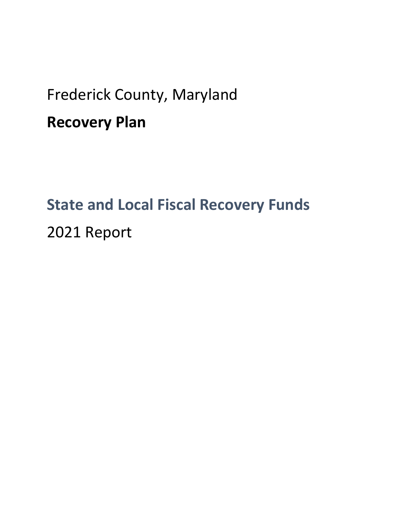# Frederick County, Maryland **Recovery Plan**

# **State and Local Fiscal Recovery Funds** 2021 Report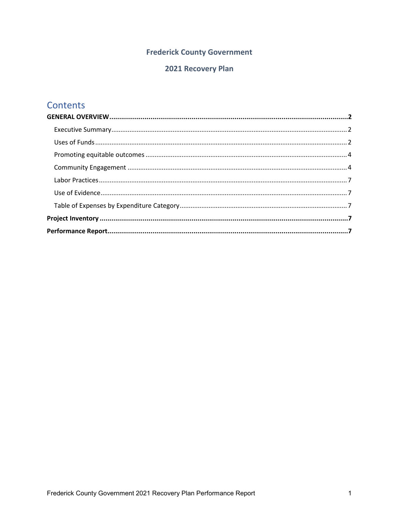### **Frederick County Government**

### 2021 Recovery Plan

## **Contents**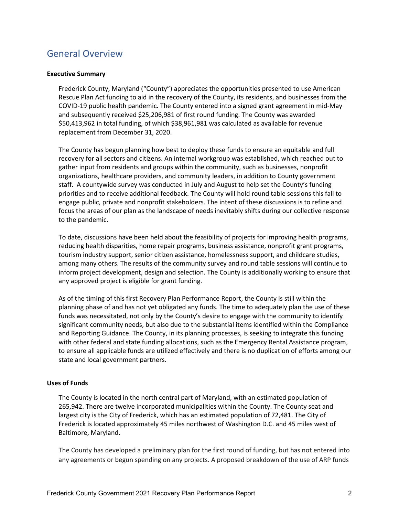## <span id="page-2-0"></span>General Overview

#### <span id="page-2-1"></span>**Executive Summary**

Frederick County, Maryland ("County") appreciates the opportunities presented to use American Rescue Plan Act funding to aid in the recovery of the County, its residents, and businesses from the COVID-19 public health pandemic. The County entered into a signed grant agreement in mid-May and subsequently received \$25,206,981 of first round funding. The County was awarded \$50,413,962 in total funding, of which \$38,961,981 was calculated as available for revenue replacement from December 31, 2020.

The County has begun planning how best to deploy these funds to ensure an equitable and full recovery for all sectors and citizens. An internal workgroup was established, which reached out to gather input from residents and groups within the community, such as businesses, nonprofit organizations, healthcare providers, and community leaders, in addition to County government staff. A countywide survey was conducted in July and August to help set the County's funding priorities and to receive additional feedback. The County will hold round table sessions this fall to engage public, private and nonprofit stakeholders. The intent of these discussions is to refine and focus the areas of our plan as the landscape of needs inevitably shifts during our collective response to the pandemic.

To date, discussions have been held about the feasibility of projects for improving health programs, reducing health disparities, home repair programs, business assistance, nonprofit grant programs, tourism industry support, senior citizen assistance, homelessness support, and childcare studies, among many others. The results of the community survey and round table sessions will continue to inform project development, design and selection. The County is additionally working to ensure that any approved project is eligible for grant funding.

As of the timing of this first Recovery Plan Performance Report, the County is still within the planning phase of and has not yet obligated any funds. The time to adequately plan the use of these funds was necessitated, not only by the County's desire to engage with the community to identify significant community needs, but also due to the substantial items identified within the Compliance and Reporting Guidance. The County, in its planning processes, is seeking to integrate this funding with other federal and state funding allocations, such as the Emergency Rental Assistance program, to ensure all applicable funds are utilized effectively and there is no duplication of efforts among our state and local government partners.

#### <span id="page-2-2"></span>**Uses of Funds**

The County is located in the north central part of Maryland, with an estimated population of 265,942. There are twelve incorporated municipalities within the County. The County seat and largest city is the City of Frederick, which has an estimated population of 72,481. The City of Frederick is located approximately 45 miles northwest of Washington D.C. and 45 miles west of Baltimore, Maryland.

The County has developed a preliminary plan for the first round of funding, but has not entered into any agreements or begun spending on any projects. A proposed breakdown of the use of ARP funds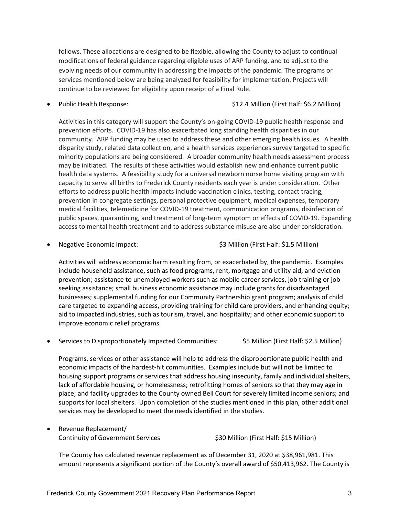follows. These allocations are designed to be flexible, allowing the County to adjust to continual modifications of federal guidance regarding eligible uses of ARP funding, and to adjust to the evolving needs of our community in addressing the impacts of the pandemic. The programs or services mentioned below are being analyzed for feasibility for implementation. Projects will continue to be reviewed for eligibility upon receipt of a Final Rule.

• Public Health Response:  $$12.4$  Million (First Half: \$6.2 Million)

Activities in this category will support the County's on-going COVID-19 public health response and prevention efforts. COVID-19 has also exacerbated long standing health disparities in our community. ARP funding may be used to address these and other emerging health issues. A health disparity study, related data collection, and a health services experiences survey targeted to specific minority populations are being considered. A broader community health needs assessment process may be initiated. The results of these activities would establish new and enhance current public health data systems. A feasibility study for a universal newborn nurse home visiting program with capacity to serve all births to Frederick County residents each year is under consideration. Other efforts to address public health impacts include vaccination clinics, testing, contact tracing, prevention in congregate settings, personal protective equipment, medical expenses, temporary medical facilities, telemedicine for COVID-19 treatment, communication programs, disinfection of public spaces, quarantining, and treatment of long-term symptom or effects of COVID-19. Expanding access to mental health treatment and to address substance misuse are also under consideration.

• Negative Economic Impact: \$3 Million (First Half: \$1.5 Million)

Activities will address economic harm resulting from, or exacerbated by, the pandemic. Examples include household assistance, such as food programs, rent, mortgage and utility aid, and eviction prevention; assistance to unemployed workers such as mobile career services, job training or job seeking assistance; small business economic assistance may include grants for disadvantaged businesses; supplemental funding for our Community Partnership grant program; analysis of child care targeted to expanding access, providing training for child care providers, and enhancing equity; aid to impacted industries, such as tourism, travel, and hospitality; and other economic support to improve economic relief programs.

• Services to Disproportionately Impacted Communities: \$5 Million (First Half: \$2.5 Million)

Programs, services or other assistance will help to address the disproportionate public health and economic impacts of the hardest-hit communities. Examples include but will not be limited to housing support programs or services that address housing insecurity, family and individual shelters, lack of affordable housing, or homelessness; retrofitting homes of seniors so that they may age in place; and facility upgrades to the County owned Bell Court for severely limited income seniors; and supports for local shelters. Upon completion of the studies mentioned in this plan, other additional services may be developed to meet the needs identified in the studies.

• Revenue Replacement/

Continuity of Government Services \$30 Million (First Half: \$15 Million)

The County has calculated revenue replacement as of December 31, 2020 at \$38,961,981. This amount represents a significant portion of the County's overall award of \$50,413,962. The County is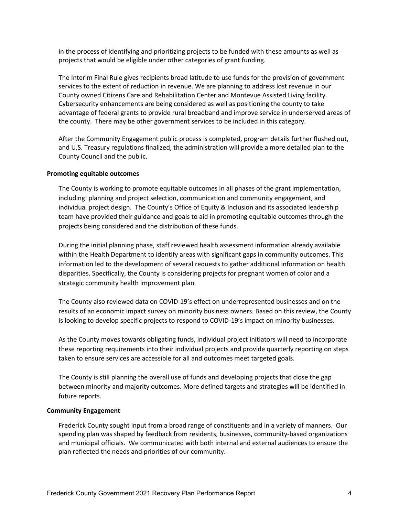in the process of identifying and prioritizing projects to be funded with these amounts as well as projects that would be eligible under other categories of grant funding.

The Interim Final Rule gives recipients broad latitude to use funds for the provision of government services to the extent of reduction in revenue. We are planning to address lost revenue in our County owned Citizens Care and Rehabilitation Center and Montevue Assisted Living facility. Cybersecurity enhancements are being considered as well as positioning the county to take advantage of federal grants to provide rural broadband and improve service in underserved areas of the county. There may be other government services to be included in this category.

After the Community Engagement public process is completed, program details further flushed out, and U.S. Treasury regulations finalized, the administration will provide a more detailed plan to the County Council and the public.

#### <span id="page-4-0"></span>**Promoting equitable outcomes**

The County is working to promote equitable outcomes in all phases of the grant implementation, including: planning and project selection, communication and community engagement, and individual project design. The County's Office of Equity & Inclusion and its associated leadership team have provided their guidance and goals to aid in promoting equitable outcomes through the projects being considered and the distribution of these funds.

During the initial planning phase, staff reviewed health assessment information already available within the Health Department to identify areas with significant gaps in community outcomes. This information led to the development of several requests to gather additional information on health disparities. Specifically, the County is considering projects for pregnant women of color and a strategic community health improvement plan.

The County also reviewed data on COVID-19's effect on underrepresented businesses and on the results of an economic impact survey on minority business owners. Based on this review, the County is looking to develop specific projects to respond to COVID-19's impact on minority businesses.

As the County moves towards obligating funds, individual project initiators will need to incorporate these reporting requirements into their individual projects and provide quarterly reporting on steps taken to ensure services are accessible for all and outcomes meet targeted goals.

The County is still planning the overall use of funds and developing projects that close the gap between minority and majority outcomes. More defined targets and strategies will be identified in future reports.

#### <span id="page-4-1"></span>**Community Engagement**

Frederick County sought input from a broad range of constituents and in a variety of manners. Our spending plan was shaped by feedback from residents, businesses, community-based organizations and municipal officials. We communicated with both internal and external audiences to ensure the plan reflected the needs and priorities of our community.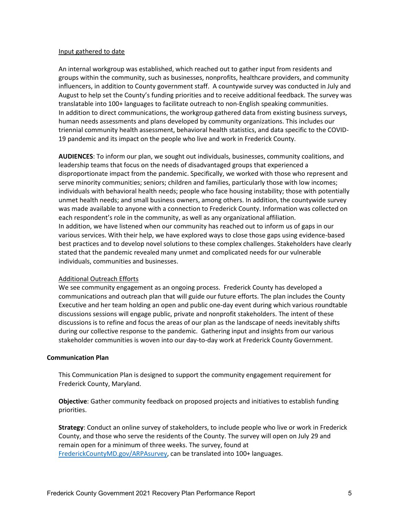#### Input gathered to date

An internal workgroup was established, which reached out to gather input from residents and groups within the community, such as businesses, nonprofits, healthcare providers, and community influencers, in addition to County government staff. A countywide survey was conducted in July and August to help set the County's funding priorities and to receive additional feedback. The survey was translatable into 100+ languages to facilitate outreach to non-English speaking communities. In addition to direct communications, the workgroup gathered data from existing business surveys, human needs assessments and plans developed by community organizations. This includes our triennial community health assessment, behavioral health statistics, and data specific to the COVID-19 pandemic and its impact on the people who live and work in Frederick County.

**AUDIENCES**: To inform our plan, we sought out individuals, businesses, community coalitions, and leadership teams that focus on the needs of disadvantaged groups that experienced a disproportionate impact from the pandemic. Specifically, we worked with those who represent and serve minority communities; seniors; children and families, particularly those with low incomes; individuals with behavioral health needs; people who face housing instability; those with potentially unmet health needs; and small business owners, among others. In addition, the countywide survey was made available to anyone with a connection to Frederick County. Information was collected on each respondent's role in the community, as well as any organizational affiliation. In addition, we have listened when our community has reached out to inform us of gaps in our various services. With their help, we have explored ways to close those gaps using evidence-based best practices and to develop novel solutions to these complex challenges. Stakeholders have clearly stated that the pandemic revealed many unmet and complicated needs for our vulnerable individuals, communities and businesses.

#### Additional Outreach Efforts

We see community engagement as an ongoing process. Frederick County has developed a communications and outreach plan that will guide our future efforts. The plan includes the County Executive and her team holding an open and public one-day event during which various roundtable discussions sessions will engage public, private and nonprofit stakeholders. The intent of these discussions is to refine and focus the areas of our plan as the landscape of needs inevitably shifts during our collective response to the pandemic. Gathering input and insights from our various stakeholder communities is woven into our day-to-day work at Frederick County Government.

#### **Communication Plan**

This Communication Plan is designed to support the community engagement requirement for Frederick County, Maryland.

**Objective**: Gather community feedback on proposed projects and initiatives to establish funding priorities.

**Strategy**: Conduct an online survey of stakeholders, to include people who live or work in Frederick County, and those who serve the residents of the County. The survey will open on July 29 and remain open for a minimum of three weeks. The survey, found at [FrederickCountyMD.gov/ARPAsurvey,](https://publicinput.com/V5684) can be translated into 100+ languages.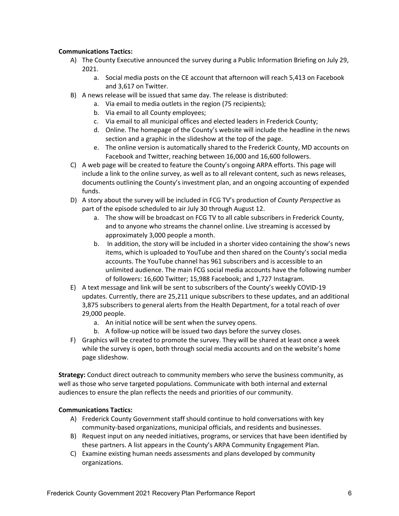#### **Communications Tactics:**

- A) The County Executive announced the survey during a Public Information Briefing on July 29, 2021.
	- a. Social media posts on the CE account that afternoon will reach 5,413 on Facebook and 3,617 on Twitter.
- B) A news release will be issued that same day. The release is distributed:
	- a. Via email to media outlets in the region (75 recipients);
		- b. Via email to all County employees;
		- c. Via email to all municipal offices and elected leaders in Frederick County;
		- d. Online. The homepage of the County's website will include the headline in the news section and a graphic in the slideshow at the top of the page.
		- e. The online version is automatically shared to the Frederick County, MD accounts on Facebook and Twitter, reaching between 16,000 and 16,600 followers.
- C) A web page will be created to feature the County's ongoing ARPA efforts. This page will include a link to the online survey, as well as to all relevant content, such as news releases, documents outlining the County's investment plan, and an ongoing accounting of expended funds.
- D) A story about the survey will be included in FCG TV's production of *County Perspective* as part of the episode scheduled to air July 30 through August 12.
	- a. The show will be broadcast on FCG TV to all cable subscribers in Frederick County, and to anyone who streams the channel online. Live streaming is accessed by approximately 3,000 people a month.
	- b. In addition, the story will be included in a shorter video containing the show's news items, which is uploaded to YouTube and then shared on the County's social media accounts. The YouTube channel has 961 subscribers and is accessible to an unlimited audience. The main FCG social media accounts have the following number of followers: 16,600 Twitter; 15,988 Facebook; and 1,727 Instagram.
- E) A text message and link will be sent to subscribers of the County's weekly COVID-19 updates. Currently, there are 25,211 unique subscribers to these updates, and an additional 3,875 subscribers to general alerts from the Health Department, for a total reach of over 29,000 people.
	- a. An initial notice will be sent when the survey opens.
	- b. A follow-up notice will be issued two days before the survey closes.
- F) Graphics will be created to promote the survey. They will be shared at least once a week while the survey is open, both through social media accounts and on the website's home page slideshow.

**Strategy:** Conduct direct outreach to community members who serve the business community, as well as those who serve targeted populations. Communicate with both internal and external audiences to ensure the plan reflects the needs and priorities of our community.

#### **Communications Tactics:**

- A) Frederick County Government staff should continue to hold conversations with key community-based organizations, municipal officials, and residents and businesses.
- B) Request input on any needed initiatives, programs, or services that have been identified by these partners. A list appears in the County's ARPA Community Engagement Plan.
- C) Examine existing human needs assessments and plans developed by community organizations.